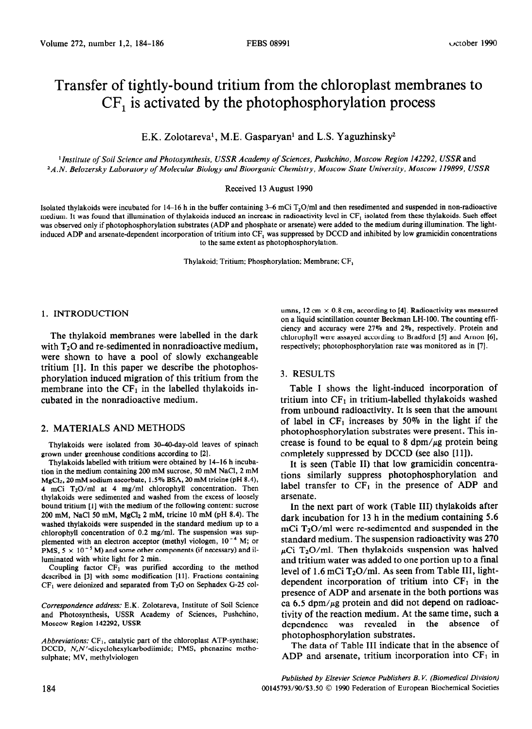# Transfer of tightly-bound tritium from the chloroplast membranes to  $CF<sub>1</sub>$  is activated by the photophosphorylation process

E.K. Zolotareva', M.E. Gasparyan' and L.S. Yaguzhinsky2

*'Institute of Soil Science and Photosynthesis, USSR Academy of Sciences, Pushchino, Moscow Region 142292, USSR* and *2A.N. Belozersky Laboratory of Molecular Biology and Bioorganic Chemistry, Moscow State University, Moscow 119899, USSR* 

Received 13 August 1990

Isolated thylakoids were incubated for 14–16 h in the buffer containing 3–6 mCi  $T_2O/ml$  and then resedimented and suspended in non-radioactive medium. It was found that illumination of thylakoids induced an increase in radioactivity level in CF<sub>1</sub> isolated from these thylakoids. Such effect was observed only if photophosphorylation substrates (ADP and phosphate or arsenate) were added to the medium during illumination. The lightinduced ADP and arsenate-dependent incorporation of tritium into CF, was suppressed by DCCD and inhibited by low gramicidin concentrations to the same extent as photophosphorylation.

Thylakoid; Tritium; Phosphorylation; Membrane; CF,

#### 1. INTRODUCTION

The thylakoid membranes were labelled in the dark with  $T_2O$  and re-sedimented in nonradioactive medium, were shown to have a pool of slowly exchangeable tritium [l]. In this paper we describe the photophosphorylation induced migration of this tritium from the membrane into the  $CF<sub>1</sub>$  in the labelled thylakoids incubated in the nonradioactive medium.

#### 2. MATERIALS AND METHODS

Thylakoids were isolated from 30-40-day-old leaves of spinach grown under greenhouse conditions according to [2].

Thylakoids labelied with tritium were obtained by 14-16 h incubation in the medium containing 200 mM sucrose, 50 mM NaCl, 2 mM MgClz, 20 mM sodium ascorbate, 1.5% BSA, 20 mM tricine (PH 8.4), 4 mCi TzO/ml at 4 mg/ml chlorophyll concentration. Then thylakoids were sedimented and washed from the excess of loosely bound tritium [l] with the medium of the following content: sucrose 200 mM, NaCl 50 mM, MgCl<sub>2</sub> 2 mM, tricine 10 mM (pH 8.4). The washed thylakoids were suspended in the standard medium up to a chlorophyll concentration of 0.2 mg/ml. The suspension was supplemented with an electron acceptor (methyl viologen,  $10^{-4}$  M; or PMS,  $5 \times 10^{-5}$  M) and some other components (if necessary) and illuminated with white light for 2 min.

Coupling factor  $CF_1$  was purified according to the method described in [3] with some modification [ll]. Fractions containing  $CF<sub>1</sub>$  were deionized and separated from T<sub>2</sub>O on Sephadex G-25 col-

Correspondence address: E.K. Zolotareva, Institute of Soil Science and Photosynthesis, USSR Academy of Sciences, Pushchino, Moscow Region 142292, USSR

*Abbreviations:* CF<sub>1</sub>, catalytic part of the chloroplast ATP-synthase; DCCD, N,N'-dicyclohexylcarbodiimide; PMS, phenazine methosulphate; MV, methylviologen

umns, 12 cm  $\times$  0.8 cm, according to [4]. Radioactivity was measured on a liquid scintillation counter Beckman LH-100. The counting efficiency and accuracy were 27% and 2%. respectively. Protein and chlorophyll were assayed according to Bradford [5] and Arnon [6], respectively; photophosphorylation rate was monitored as in [7].

## 3. RESULTS

Table I shows the light-induced incorporation of tritium into  $CF<sub>1</sub>$  in tritium-labelled thylakoids washed from unbound radioactivity. It is seen that the amount of label in  $CF_1$  increases by 50% in the light if the photophosphorylation substrates were present. This increase is found to be equal to 8 dpm/ $\mu$ g protein being completely suppressed by DCCD (see also [11]).

It is seen (Table II) that low gramicidin concentrations similarly suppress photophosphorylation and label transfer to  $CF<sub>1</sub>$  in the presence of ADP and arsenate.

In the next part of work (Table III) thylakoids after dark incubation for 13 h in the medium containing 5.6 mCi  $T_2O/ml$  were re-sedimented and suspended in the standard medium. The suspension radioactivity was 270  $\mu$ Ci T<sub>2</sub>O/ml. Then thylakoids suspension was halved and tritium water was added to one portion up to a final level of 1.6 mCi  $T_2O/ml$ . As seen from Table III, lightdependent incorporation of tritium into  $CF<sub>1</sub>$  in the presence of ADP and arsenate in the both portions was ca 6.5 dpm/ $\mu$ g protein and did not depend on radioactivity of the reaction medium. At the same time, such a<br>dependence was revealed in the absence of dependence was revealed in the photophosphorylation substrates.

The data of Table III indicate that in the absence of ADP and arsenate, tritium incorporation into  $CF<sub>1</sub>$  in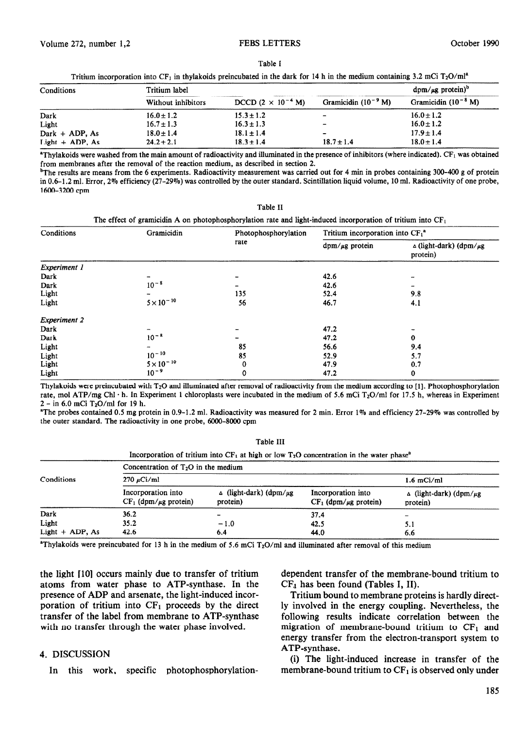#### Table I

|  |  |  |  | Tritium incorporation into CF <sub>1</sub> in thylakoids preincubated in the dark for 14 h in the medium containing 3.2 mCi T <sub>2</sub> O/ml <sup>a</sup> |
|--|--|--|--|--------------------------------------------------------------------------------------------------------------------------------------------------------------|
|--|--|--|--|--------------------------------------------------------------------------------------------------------------------------------------------------------------|

| Conditions        | Tritium label      |                                     |                          | $\text{dpm}/\mu\text{g}$ protein) <sup>b</sup> |
|-------------------|--------------------|-------------------------------------|--------------------------|------------------------------------------------|
|                   | Without inhibitors | DCCD $(2 \times 10^{-4} \text{ M})$ | Gramicidin $(10^{-9} M)$ | Gramicidin $(10^{-8} M)$                       |
| Dark              | $16.0 \pm 1.2$     | $15.3 \pm 1.2$                      | -                        | $16.0 \pm 1.2$                                 |
| Light             | $16.7 \pm 1.3$     | $16.3 \pm 1.3$                      | $\overline{\phantom{0}}$ | $16.0 \pm 1.2$                                 |
| Dark $+$ ADP, As  | $18.0 \pm 1.4$     | $18.1 \pm 1.4$                      | $\sim$                   | $17.9 \pm 1.4$                                 |
| Light $+$ ADP, As | $24.2 \pm 2.1$     | $18.3 \pm 1.4$                      | $18.7 \pm 1.4$           | $18.0 \pm 1.4$                                 |

<sup>a</sup>Thylakoids were washed from the main amount of radioactivity and illuminated in the presence of inhibitors (where indicated). CF<sub>1</sub> was obtained from membranes after the removal of the reaction medium, as described in section 2.

<sup>b</sup>The results are means from the 6 experiments. Radioactivity measurement was carried out for 4 min in probes containing 300-400 g of protein in 0.6-l .2 ml. Error, 2% efficiency (27-29%) was controlled by the outer standard. Scintillation liquid volume, 10 ml. Radioactivity of one probe, 1600-3200 cpm

Table 11

| Conditions          | Gramicidin          | Photophosphorylation<br>rate | Tritium incorporation into $CF_1^a$ |                                                 |
|---------------------|---------------------|------------------------------|-------------------------------------|-------------------------------------------------|
|                     |                     |                              | $\text{dpm}/\mu\text{g}$ protein    | $\Delta$ (light-dark) (dpm/ $\mu$ g<br>protein) |
| <b>Experiment 1</b> |                     |                              |                                     |                                                 |
| Dark                |                     |                              | 42.6                                |                                                 |
| Dark                | $10^{-8}$           |                              | 42.6                                |                                                 |
| Light               |                     | 135                          | 52.4                                | 9.8                                             |
| Light               | $5 \times 10^{-10}$ | 56                           | 46.7                                | 4.1                                             |
| <b>Experiment 2</b> |                     |                              |                                     |                                                 |
| Dark                |                     |                              | 47.2                                |                                                 |
| Dark                | $10^{-8}$           |                              | 47.2                                | 0                                               |
| Light               |                     | 85                           | 56.6                                | 9.4                                             |
| Light               | $10^{-10}$          | 85                           | 52.9                                | 5.7                                             |
| Light               | $5 \times 10^{-10}$ | 0                            | 47.9                                | 0.7                                             |
| Light               | $10^{-9}$           | 0                            | 47.2                                | 0                                               |

Thylakoids were preincubated with T20 and illuminated after removal of radioactivity from the medium according to [l]. Photophosphorylation rate, mol ATP/mg Chl·h. In Experiment 1 chloroplasts were incubated in the medium of 5.6 mCi T<sub>2</sub>O/ml for 17.5 h, whereas in Experiment  $2 - in 6.0$  mCi T<sub>2</sub>O/ml for 19 h.

'The probes contained 0.5 mg protein in 0.9-1.2 ml. Radioactivity was measured for 2 min. Error 1% and efficiency 27-29% was controlled by the outer standard. The radioactivity in one probe, 6000-8000 cpm

Table III

|                   | Incorporation of tritium into $CF_1$ at high or low $T_2O$ concentration in the water phase <sup>a</sup><br>Concentration of $T_2O$ in the medium |                                            |                                                     |                                                 |  |
|-------------------|---------------------------------------------------------------------------------------------------------------------------------------------------|--------------------------------------------|-----------------------------------------------------|-------------------------------------------------|--|
| Conditions        | $270 \mu$ Ci/ml                                                                                                                                   |                                            |                                                     | $1.6$ mCi/ml                                    |  |
|                   | Incorporation into<br>$CF_1$ (dpm/ $\mu$ g protein)                                                                                               | $\Delta$ (light-dark) (dpm/ug)<br>protein) | Incorporation into<br>$CF_1$ (dpm/ $\mu$ g protein) | $\Delta$ (light-dark) (dpm/ $\mu$ g<br>protein) |  |
| Dark              | 36.2                                                                                                                                              |                                            | 37.4                                                |                                                 |  |
| Light             | 35.2                                                                                                                                              | $-1.0$                                     | 42.5                                                | 5.1                                             |  |
| Light $+$ ADP, As | 42.6                                                                                                                                              | 6.4                                        | 44.0                                                | 6.6                                             |  |

<sup>a</sup>Thylakoids were preincubated for 13 h in the medium of 5.6 mCi T<sub>2</sub>O/ml and illuminated after removal of this medium

the light [lo] occurs mainly due to transfer of tritium atoms from water phase to ATP-synthase. In the presence of ADP and arsenate, the light-induced incorporation of tritium into  $CF_1$  proceeds by the direct transfer of the label from membrane to ATP-synthase with no transfer through the water phase involved.

### 4. DISCUSSION

In this work, specific photophosphorylation-

dependent transfer of the membrane-bound tritium to  $CF<sub>4</sub>$  has been found (Tables I, II).

Tritium bound to membrane proteins is hardly directly involved in the energy coupling. Nevertheless, the following results indicate correlation between the migration of membrane-bound tritium to  $CF<sub>1</sub>$  and energy transfer from the electron-transport system to ATP-synthase.

(i) The light-induced increase in transfer of the membrane-bound tritium to  $CF<sub>1</sub>$  is observed only under